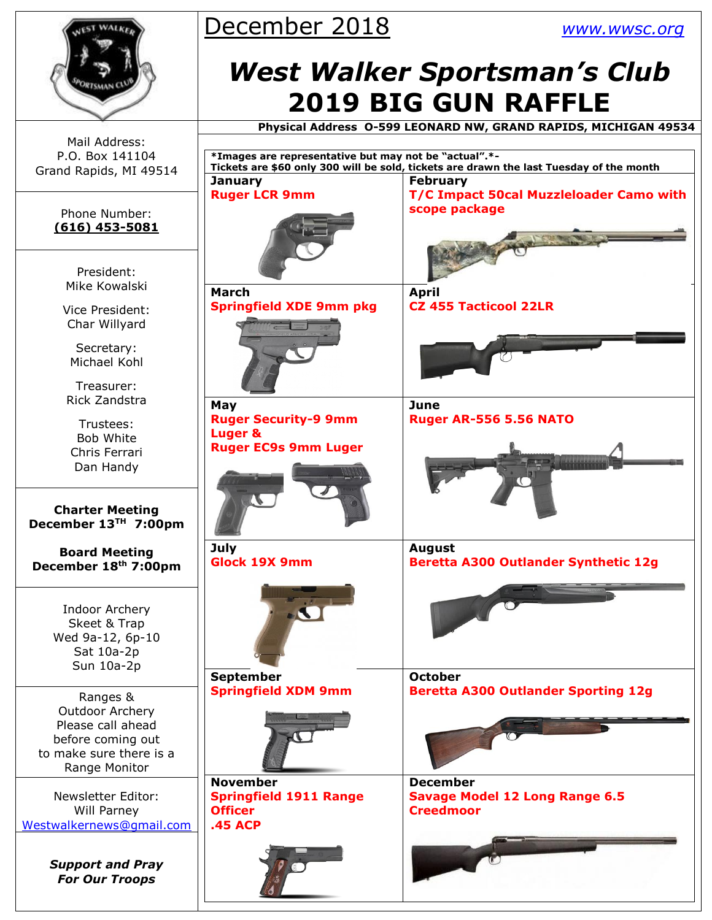



Mail Address: P.O. Box 141104 Grand Rapids, MI 49514

#### Phone Number: **(616) 453-5081**

President: Mike Kowalski

Vice President: Char Willyard

Secretary: Michael Kohl

Treasurer: Rick Zandstra

Trustees: Bob White Chris Ferrari Dan Handy

**Charter Meeting December 13TH 7:00pm**

**Board Meeting December 18th 7:00pm**

> Indoor Archery Skeet & Trap Wed 9a-12, 6p-10 Sat 10a-2p Sun 10a-2p

Ranges & Outdoor Archery Please call ahead before coming out to make sure there is a Range Monitor

Newsletter Editor: Will Parney [Westwalkernews@gmail.com](mailto:Westwalkernews@gmail.com)

> *Support and Pray For Our Troops*

# *West Walker Sportsman's Club* **2019 BIG GUN RAFFLE**

 **Physical Address O-599 LEONARD NW, GRAND RAPIDS, MICHIGAN 49534**

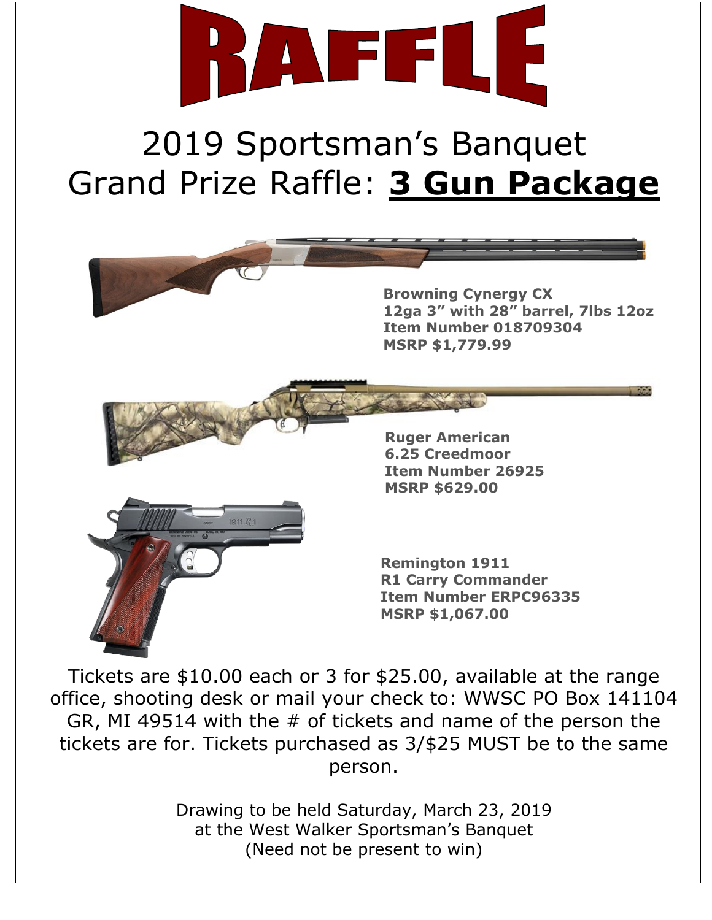

# 2019 Sportsman's Banquet Grand Prize Raffle: **3 Gun Package**



Tickets are \$10.00 each or 3 for \$25.00, available at the range office, shooting desk or mail your check to: WWSC PO Box 141104 GR, MI 49514 with the # of tickets and name of the person the tickets are for. Tickets purchased as 3/\$25 MUST be to the same person.

> Drawing to be held Saturday, March 23, 2019 at the West Walker Sportsman's Banquet (Need not be present to win)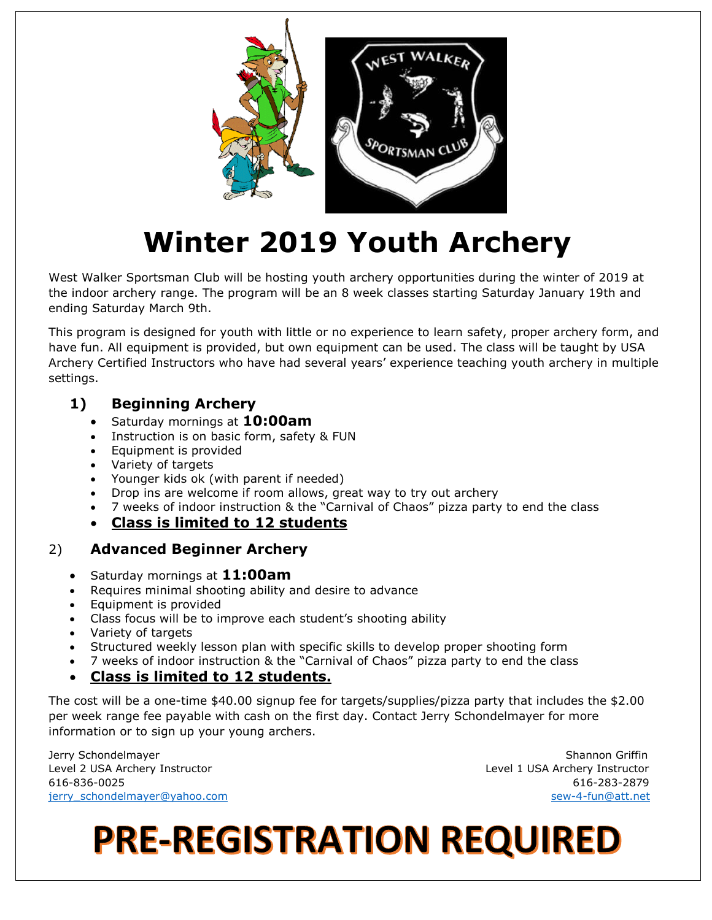

# **Winter 2019 Youth Archery**

West Walker Sportsman Club will be hosting youth archery opportunities during the winter of 2019 at the indoor archery range. The program will be an 8 week classes starting Saturday January 19th and ending Saturday March 9th.

This program is designed for youth with little or no experience to learn safety, proper archery form, and have fun. All equipment is provided, but own equipment can be used. The class will be taught by USA Archery Certified Instructors who have had several years' experience teaching youth archery in multiple settings.

#### **1) Beginning Archery**

- Saturday mornings at **10:00am**
- Instruction is on basic form, safety & FUN
- Equipment is provided
- Variety of targets
- Younger kids ok (with parent if needed)
- Drop ins are welcome if room allows, great way to try out archery
- 7 weeks of indoor instruction & the "Carnival of Chaos" pizza party to end the class
- **Class is limited to 12 students**

#### 2) **Advanced Beginner Archery**

- Saturday mornings at **11:00am**
- Requires minimal shooting ability and desire to advance
- Equipment is provided
- Class focus will be to improve each student's shooting ability
- Variety of targets
- Structured weekly lesson plan with specific skills to develop proper shooting form
- 7 weeks of indoor instruction & the "Carnival of Chaos" pizza party to end the class
- **Class is limited to 12 students.**

The cost will be a one-time \$40.00 signup fee for targets/supplies/pizza party that includes the \$2.00 per week range fee payable with cash on the first day. Contact Jerry Schondelmayer for more information or to sign up your young archers.

Jerry Schondelmayer Shannon Griffin and Shannon Griffin and Shannon Griffin and Shannon Griffin and Shannon Griffin Level 2 USA Archery Instructor Level 1 USA Archery Instructor 616-836-0025 616-283-2879 jerry\_schondelmayer@yahoo.com sew-4-fun@att.net

# **PRE-REGISTRATION REQUIRED**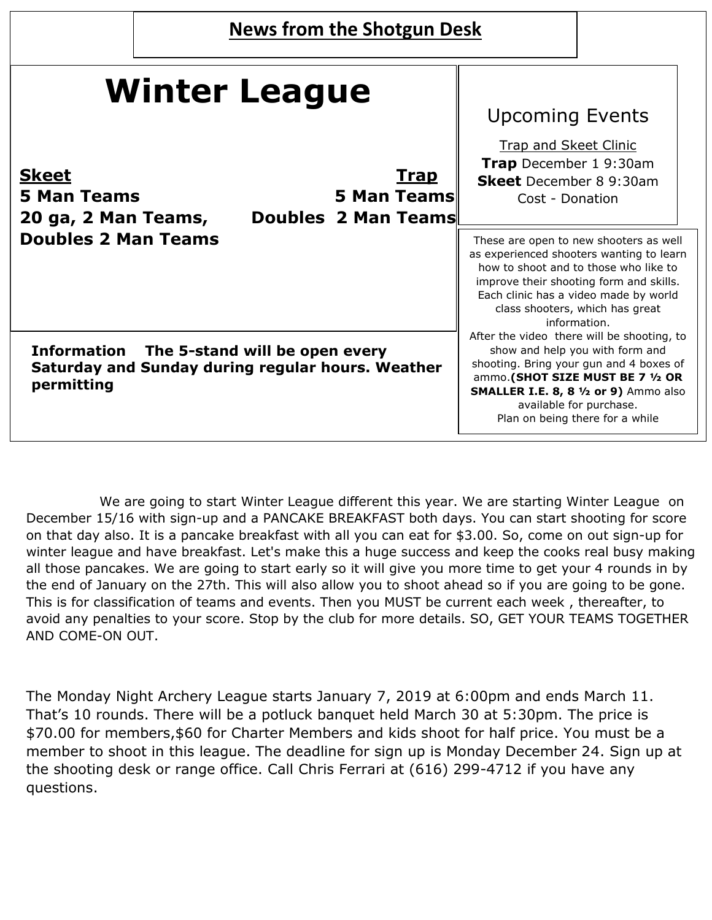| <b>News from the Shotgun Desk</b> |  |
|-----------------------------------|--|
|-----------------------------------|--|

| <b>Winter League</b>                                                                                             | <b>Upcoming Events</b>                                                                                                                                                                                                                                                     |  |  |
|------------------------------------------------------------------------------------------------------------------|----------------------------------------------------------------------------------------------------------------------------------------------------------------------------------------------------------------------------------------------------------------------------|--|--|
| <b>Skeet</b><br><u>Trap</u><br>5 Man Teams<br><b>5 Man Teams</b><br>Doubles 2 Man Teams<br>20 ga, 2 Man Teams,   | <b>Trap and Skeet Clinic</b><br>Trap December 19:30am<br><b>Skeet</b> December 8 9:30am<br>Cost - Donation                                                                                                                                                                 |  |  |
| <b>Doubles 2 Man Teams</b>                                                                                       | These are open to new shooters as well<br>as experienced shooters wanting to learn<br>how to shoot and to those who like to<br>improve their shooting form and skills.<br>Each clinic has a video made by world<br>class shooters, which has great<br>information.         |  |  |
| Information<br>The 5-stand will be open every<br>Saturday and Sunday during regular hours. Weather<br>permitting | After the video there will be shooting, to<br>show and help you with form and<br>shooting. Bring your gun and 4 boxes of<br>ammo.(SHOT SIZE MUST BE 7 1/2 OR<br><b>SMALLER I.E. 8, 8 1/2 or 9)</b> Ammo also<br>available for purchase.<br>Plan on being there for a while |  |  |

We are going to start Winter League different this year. We are starting Winter League on December 15/16 with sign-up and a PANCAKE BREAKFAST both days. You can start shooting for score on that day also. It is a pancake breakfast with all you can eat for \$3.00. So, come on out sign-up for winter league and have breakfast. Let's make this a huge success and keep the cooks real busy making all those pancakes. We are going to start early so it will give you more time to get your 4 rounds in by the end of January on the 27th. This will also allow you to shoot ahead so if you are going to be gone. This is for classification of teams and events. Then you MUST be current each week , thereafter, to avoid any penalties to your score. Stop by the club for more details. SO, GET YOUR TEAMS TOGETHER AND COME-ON OUT.

The Monday Night Archery League starts January 7, 2019 at 6:00pm and ends March 11. That's 10 rounds. There will be a potluck banquet held March 30 at 5:30pm. The price is \$70.00 for members,\$60 for Charter Members and kids shoot for half price. You must be a member to shoot in this league. The deadline for sign up is Monday December 24. Sign up at the shooting desk or range office. Call Chris Ferrari at (616) 299-4712 if you have any questions.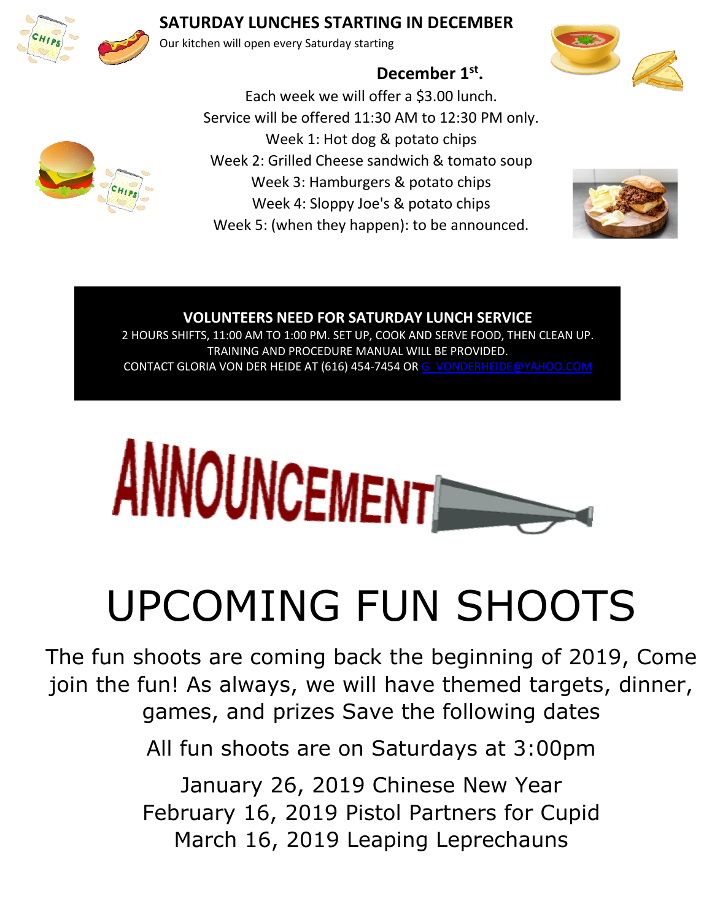

### **SATURDAY LUNCHES STARTING IN DECEMBER**

Our kitchen will open every Saturday starting





**December 1st .**

Each week we will offer a \$3.00 lunch. Service will be offered 11:30 AM to 12:30 PM only. Week 1: Hot dog & potato chips Week 2: Grilled Cheese sandwich & tomato soup Week 3: Hamburgers & potato chips Week 4: Sloppy Joe's & potato chips Week 5: (when they happen): to be announced.



#### **VOLUNTEERS NEED FOR SATURDAY LUNCH SERVICE** 2 HOURS SHIFTS, 11:00 AM TO 1:00 PM. SET UP, COOK AND SERVE FOOD, THEN CLEAN UP. TRAINING AND PROCEDURE MANUAL WILL BE PROVIDED. CONTACT GLORIA VON DER HEIDE AT (616) 454-7454 O[R G\\_VONDERHEIDE@YAHOO.COM](mailto:g_vonderheide@yahoo.coM)



# UPCOMING FUN SHOOTS

The fun shoots are coming back the beginning of 2019, Come join the fun! As always, we will have themed targets, dinner, games, and prizes Save the following dates

All fun shoots are on Saturdays at 3:00pm

January 26, 2019 Chinese New Year February 16, 2019 Pistol Partners for Cupid March 16, 2019 Leaping Leprechauns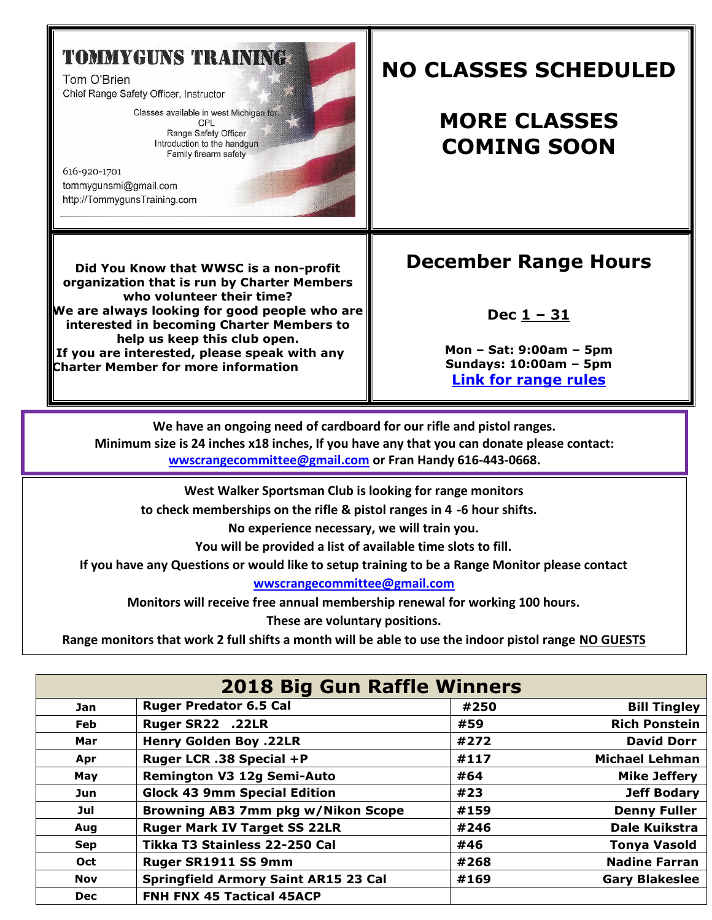## **TOMMYGUNS TRAINING**

Tom O'Brien Chief Range Safety Officer, Instructor

> Classes available in west Michigan for: CPL Range Safety Officer Introduction to the handgun Family firearm safety

616-920-1701 tommygunsmi@gmail.com http://TommygunsTraining.com

## **NO CLASSES SCHEDULED**

## **MORE CLASSES COMING SOON**

**Did You Know that WWSC is a non-profit organization that is run by Charter Members who volunteer their time? We are always looking for good people who are interested in becoming Charter Members to help us keep this club open. If you are interested, please speak with any Charter Member for more information**

## **December Range Hours**

#### **Dec 1 – 31**

**Mon – Sat: 9:00am – 5pm Sundays: 10:00am – 5pm [Link for range rules](http://www.wwsc.org/img/ranges/RangeRules.pdf)**

**We have an ongoing need of cardboard for our rifle and pistol ranges. Minimum size is 24 inches x18 inches, If you have any that you can donate please contact: [wwscrangecommittee@gmail.com](mailto:wwscrangecommittee@gmail.com?subject=Cardboard) or Fran Handy 616-443-0668.** 

**West Walker Sportsman Club is looking for range monitors**

**to check memberships on the rifle & pistol ranges in 4 -6 hour shifts.** 

**No experience necessary, we will train you.** 

**You will be provided a list of available time slots to fill.** 

**If you have any Questions or would like to setup training to be a Range Monitor please contact** 

**[wwscrangecommittee@gmail.com](mailto:wwscrangecommittee@gmail.com)**

**Monitors will receive free annual membership renewal for working 100 hours.** 

**These are voluntary positions.** 

**Range monitors that work 2 full shifts a month will be able to use the indoor pistol range NO GUESTS**

| <b>2018 Big Gun Raffle Winners</b> |                                             |      |                       |  |  |
|------------------------------------|---------------------------------------------|------|-----------------------|--|--|
| <b>Jan</b>                         | <b>Ruger Predator 6.5 Cal</b>               | #250 | <b>Bill Tingley</b>   |  |  |
| Feb                                | Ruger SR22 .22LR                            | #59  | <b>Rich Ponstein</b>  |  |  |
| Mar                                | <b>Henry Golden Boy .22LR</b>               | #272 | <b>David Dorr</b>     |  |  |
| Apr                                | Ruger LCR .38 Special +P                    | #117 | <b>Michael Lehman</b> |  |  |
| May                                | <b>Remington V3 12g Semi-Auto</b>           | #64  | <b>Mike Jeffery</b>   |  |  |
| Jun                                | <b>Glock 43 9mm Special Edition</b>         | #23  | <b>Jeff Bodary</b>    |  |  |
| Jul                                | Browning AB3 7mm pkg w/Nikon Scope          | #159 | <b>Denny Fuller</b>   |  |  |
| Aug                                | <b>Ruger Mark IV Target SS 22LR</b>         | #246 | <b>Dale Kuikstra</b>  |  |  |
| <b>Sep</b>                         | Tikka T3 Stainless 22-250 Cal               | #46  | <b>Tonya Vasold</b>   |  |  |
| Oct                                | Ruger SR1911 SS 9mm                         | #268 | <b>Nadine Farran</b>  |  |  |
| <b>Nov</b>                         | <b>Springfield Armory Saint AR15 23 Cal</b> | #169 | <b>Gary Blakeslee</b> |  |  |
| <b>Dec</b>                         | FNH FNX 45 Tactical 45ACP                   |      |                       |  |  |